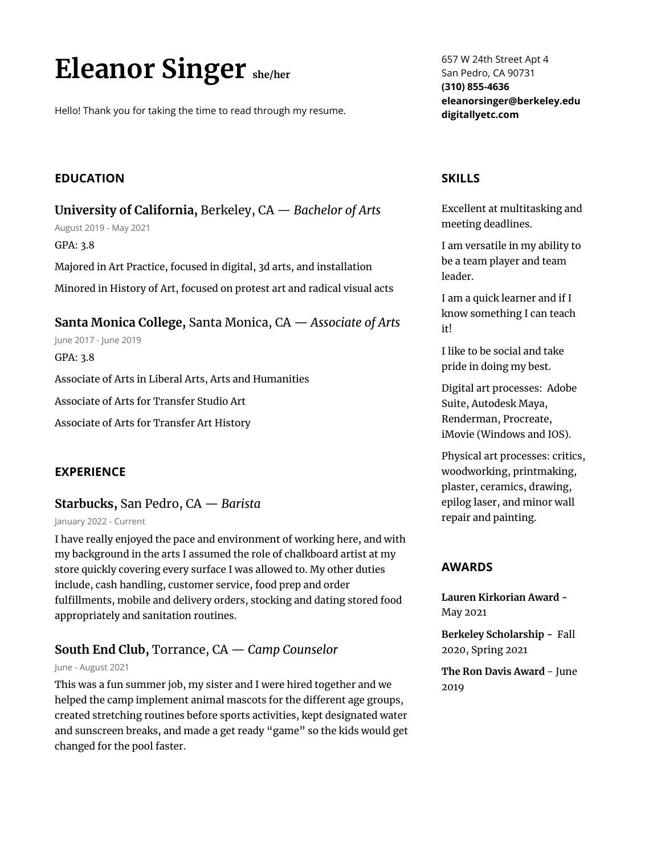# **Eleanor Singer she/her**

Hello! Thank you for taking the time to read through my resume.

# **EDUCATION**

**University of California,** Berkeley, CA — *Bachelor of Arts* August 2019 - May 2021 GPA: 3.8 Majored in Art Practice, focused in digital, 3d arts, and installation Minored in History of Art, focused on protest art and radical visual acts

**Santa Monica College,** Santa Monica, CA — *Associate of Arts*

June 2017 - June 2019

GPA: 3.8

Associate of Arts in Liberal Arts, Arts and Humanities

Associate of Arts for Transfer Studio Art

Associate of Arts for Transfer Art History

#### **EXPERIENCE**

# **Starbucks,** San Pedro, CA — *Barista*

January 2022 - Current

I have really enjoyed the pace and environment of working here, and with my background in the arts I assumed the role of chalkboard artist at my store quickly covering every surface I was allowed to. My other duties include, cash handling, customer service, food prep and order fulfillments, mobile and delivery orders, stocking and dating stored food appropriately and sanitation routines.

# **South End Club,** Torrance, CA — *Camp Counselor*

#### June - August 2021

This was a fun summer job, my sister and I were hired together and we helped the camp implement animal mascots for the different age groups, created stretching routines before sports activities, kept designated water and sunscreen breaks, and made a get ready "game" so the kids would get changed for the pool faster.

657 W 24th Street Apt 4 San Pedro, CA 90731 **(310) 855-4636 eleanorsinger@berkeley.edu digitallyetc.com**

## **SKILLS**

Excellent at multitasking and meeting deadlines.

I am versatile in my ability to be a team player and team leader.

I am a quick learner and if I know something I can teach it!

I like to be social and take pride in doing my best.

Digital art processes: Adobe Suite, Autodesk Maya, Renderman, Procreate, iMovie (Windows and IOS).

Physical art processes: critics, woodworking, printmaking, plaster, ceramics, drawing, epilog laser, and minor wall repair and painting.

## **AWARDS**

**Lauren Kirkorian Award -** May 2021

**Berkeley Scholarship -** Fall 2020, Spring 2021

**The Ron Davis Award** - June 2019